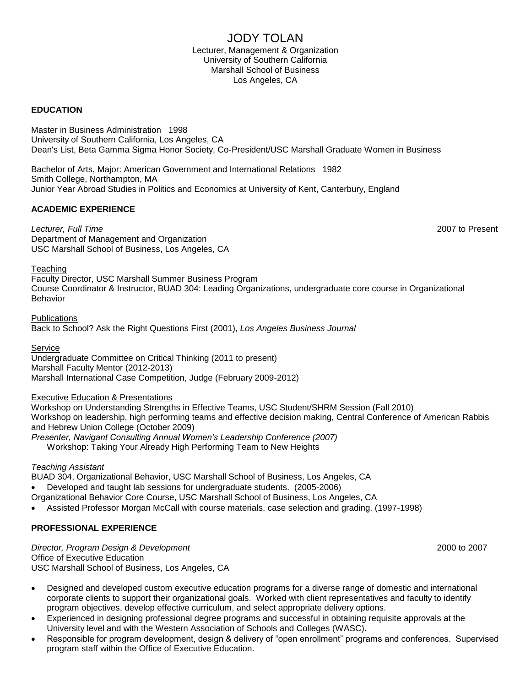## JODY TOLAN

Lecturer, Management & Organization University of Southern California Marshall School of Business Los Angeles, CA

#### **EDUCATION**

Master in Business Administration 1998 University of Southern California, Los Angeles, CA Dean's List, Beta Gamma Sigma Honor Society, Co-President/USC Marshall Graduate Women in Business

Bachelor of Arts, Major: American Government and International Relations 1982 Smith College, Northampton, MA Junior Year Abroad Studies in Politics and Economics at University of Kent, Canterbury, England

#### **ACADEMIC EXPERIENCE**

*Lecturer, Full Time* 2007 to Present Department of Management and Organization USC Marshall School of Business, Los Angeles, CA

**Teaching** 

Faculty Director, USC Marshall Summer Business Program Course Coordinator & Instructor, BUAD 304: Leading Organizations, undergraduate core course in Organizational Behavior

**Publications** [Back to School? Ask the Right Questions First](http://www.highbeam.com/doc/1G1-69713347.html) (2001), *Los Angeles Business Journal*

Service Undergraduate Committee on Critical Thinking (2011 to present) Marshall Faculty Mentor (2012-2013) Marshall International Case Competition, Judge (February 2009-2012)

Executive Education & Presentations

Workshop on Understanding Strengths in Effective Teams, USC Student/SHRM Session (Fall 2010) Workshop on leadership, high performing teams and effective decision making, Central Conference of American Rabbis and Hebrew Union College (October 2009)

*Presenter, Navigant Consulting Annual Women's Leadership Conference (2007)* Workshop: Taking Your Already High Performing Team to New Heights

*Teaching Assistant*

BUAD 304, Organizational Behavior, USC Marshall School of Business, Los Angeles, CA Developed and taught lab sessions for undergraduate students. (2005-2006)

- Organizational Behavior Core Course, USC Marshall School of Business, Los Angeles, CA
- Assisted Professor Morgan McCall with course materials, case selection and grading. (1997-1998)

#### **PROFESSIONAL EXPERIENCE**

*Director, Program Design & Development* 2000 to 2007 Office of Executive Education USC Marshall School of Business, Los Angeles, CA

- Designed and developed custom executive education programs for a diverse range of domestic and international corporate clients to support their organizational goals. Worked with client representatives and faculty to identify program objectives, develop effective curriculum, and select appropriate delivery options.
- Experienced in designing professional degree programs and successful in obtaining requisite approvals at the University level and with the Western Association of Schools and Colleges (WASC).
- Responsible for program development, design & delivery of "open enrollment" programs and conferences. Supervised program staff within the Office of Executive Education.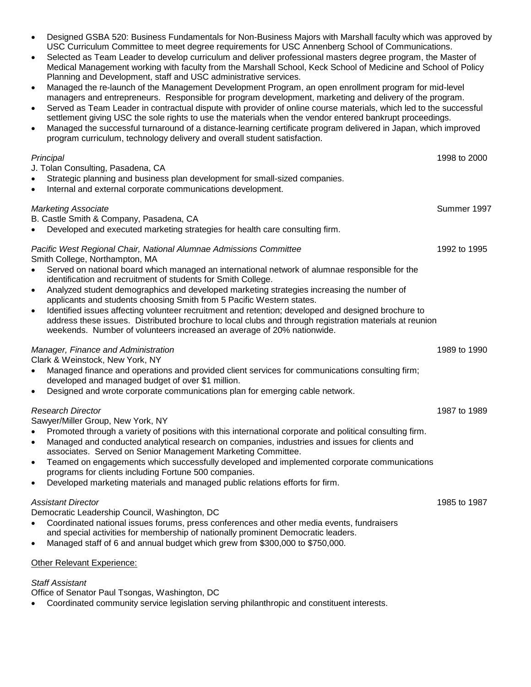- Designed GSBA 520: Business Fundamentals for Non-Business Majors with Marshall faculty which was approved by USC Curriculum Committee to meet degree requirements for USC Annenberg School of Communications.
- Selected as Team Leader to develop curriculum and deliver professional masters degree program, the Master of Medical Management working with faculty from the Marshall School, Keck School of Medicine and School of Policy Planning and Development, staff and USC administrative services.
- Managed the re-launch of the Management Development Program, an open enrollment program for mid-level managers and entrepreneurs. Responsible for program development, marketing and delivery of the program.
- Served as Team Leader in contractual dispute with provider of online course materials, which led to the successful settlement giving USC the sole rights to use the materials when the vendor entered bankrupt proceedings.
- Managed the successful turnaround of a distance-learning certificate program delivered in Japan, which improved program curriculum, technology delivery and overall student satisfaction.

#### *Principal* 1998 to 2000

J. Tolan Consulting, Pasadena, CA Strategic planning and business plan development for small-sized companies. Internal and external corporate communications development. *Marketing Associate* Summer 1997

B. Castle Smith & Company, Pasadena, CA Developed and executed marketing strategies for health care consulting firm.

# *Pacific West Regional Chair, National Alumnae Admissions Committee* 1992 to 1995

Smith College, Northampton, MA

- Served on national board which managed an international network of alumnae responsible for the identification and recruitment of students for Smith College.
- Analyzed student demographics and developed marketing strategies increasing the number of applicants and students choosing Smith from 5 Pacific Western states.
- Identified issues affecting volunteer recruitment and retention; developed and designed brochure to address these issues. Distributed brochure to local clubs and through registration materials at reunion weekends. Number of volunteers increased an average of 20% nationwide.

### *Manager, Finance and Administration* 1989 to 1990

Clark & Weinstock, New York, NY

- Managed finance and operations and provided client services for communications consulting firm; developed and managed budget of over \$1 million.
- Designed and wrote corporate communications plan for emerging cable network.

### *Research Director* 1987 to 1989

Sawyer/Miller Group, New York, NY

- Promoted through a variety of positions with this international corporate and political consulting firm.
- Managed and conducted analytical research on companies, industries and issues for clients and associates. Served on Senior Management Marketing Committee.
- Teamed on engagements which successfully developed and implemented corporate communications programs for clients including Fortune 500 companies.
- Developed marketing materials and managed public relations efforts for firm.

#### *Assistant Director* 1985 to 1987

Democratic Leadership Council, Washington, DC

- Coordinated national issues forums, press conferences and other media events, fundraisers and special activities for membership of nationally prominent Democratic leaders.
- Managed staff of 6 and annual budget which grew from \$300,000 to \$750,000.

### Other Relevant Experience:

### *Staff Assistant*

Office of Senator Paul Tsongas, Washington, DC

Coordinated community service legislation serving philanthropic and constituent interests.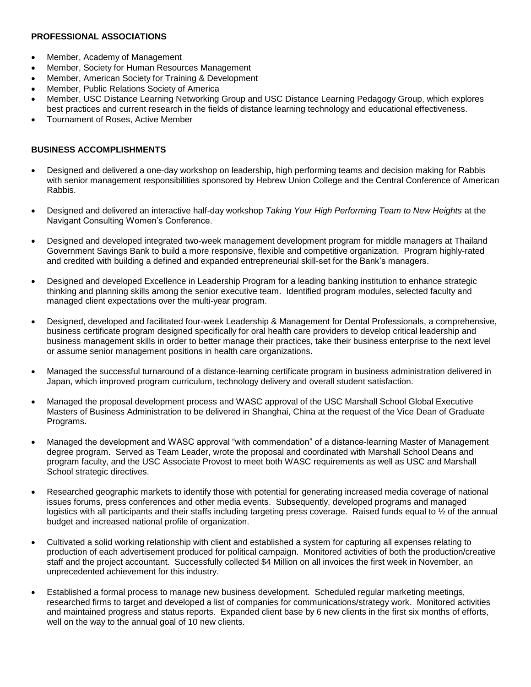#### **PROFESSIONAL ASSOCIATIONS**

- Member, Academy of Management
- Member, Society for Human Resources Management
- Member, American Society for Training & Development
- Member, Public Relations Society of America
- Member, USC Distance Learning Networking Group and USC Distance Learning Pedagogy Group, which explores best practices and current research in the fields of distance learning technology and educational effectiveness.
- Tournament of Roses, Active Member

#### **BUSINESS ACCOMPLISHMENTS**

- Designed and delivered a one-day workshop on leadership, high performing teams and decision making for Rabbis with senior management responsibilities sponsored by Hebrew Union College and the Central Conference of American Rabbis.
- Designed and delivered an interactive half-day workshop *Taking Your High Performing Team to New Heights* at the Navigant Consulting Women's Conference.
- Designed and developed integrated two-week management development program for middle managers at Thailand Government Savings Bank to build a more responsive, flexible and competitive organization. Program highly-rated and credited with building a defined and expanded entrepreneurial skill-set for the Bank's managers.
- Designed and developed Excellence in Leadership Program for a leading banking institution to enhance strategic thinking and planning skills among the senior executive team. Identified program modules, selected faculty and managed client expectations over the multi-year program.
- Designed, developed and facilitated four-week Leadership & Management for Dental Professionals, a comprehensive, business certificate program designed specifically for oral health care providers to develop critical leadership and business management skills in order to better manage their practices, take their business enterprise to the next level or assume senior management positions in health care organizations.
- Managed the successful turnaround of a distance-learning certificate program in business administration delivered in Japan, which improved program curriculum, technology delivery and overall student satisfaction.
- Managed the proposal development process and WASC approval of the USC Marshall School Global Executive Masters of Business Administration to be delivered in Shanghai, China at the request of the Vice Dean of Graduate Programs.
- Managed the development and WASC approval "with commendation" of a distance-learning Master of Management degree program. Served as Team Leader, wrote the proposal and coordinated with Marshall School Deans and program faculty, and the USC Associate Provost to meet both WASC requirements as well as USC and Marshall School strategic directives.
- Researched geographic markets to identify those with potential for generating increased media coverage of national issues forums, press conferences and other media events. Subsequently, developed programs and managed logistics with all participants and their staffs including targeting press coverage. Raised funds equal to 1/2 of the annual budget and increased national profile of organization.
- Cultivated a solid working relationship with client and established a system for capturing all expenses relating to production of each advertisement produced for political campaign. Monitored activities of both the production/creative staff and the project accountant. Successfully collected \$4 Million on all invoices the first week in November, an unprecedented achievement for this industry.
- Established a formal process to manage new business development. Scheduled regular marketing meetings, researched firms to target and developed a list of companies for communications/strategy work. Monitored activities and maintained progress and status reports. Expanded client base by 6 new clients in the first six months of efforts, well on the way to the annual goal of 10 new clients.